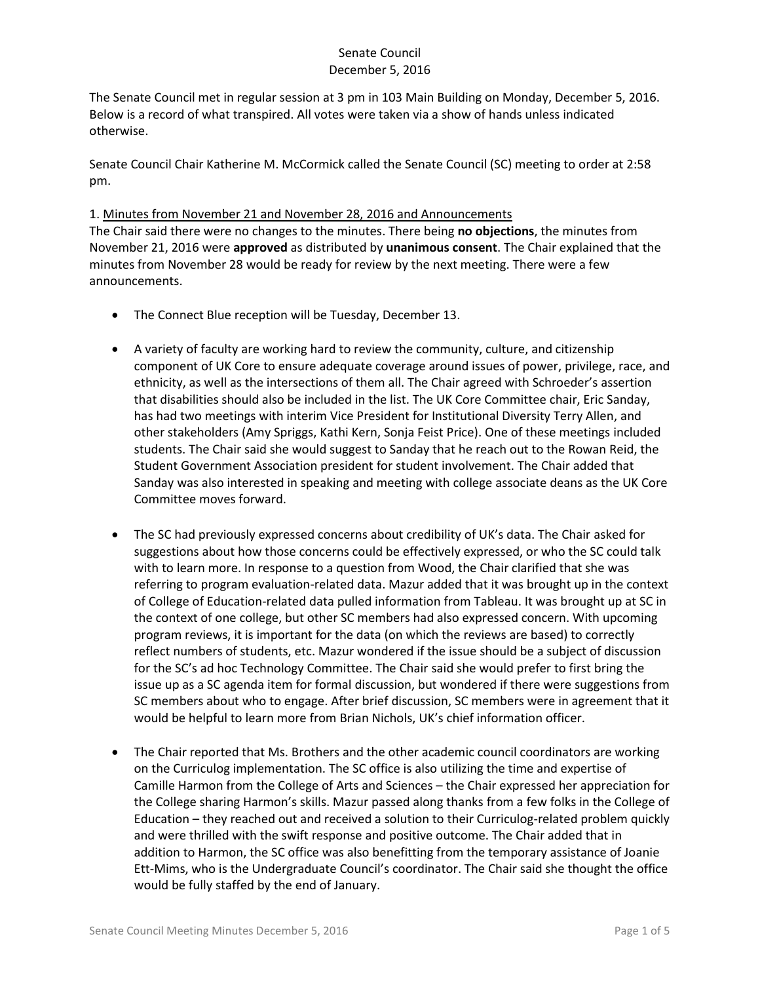The Senate Council met in regular session at 3 pm in 103 Main Building on Monday, December 5, 2016. Below is a record of what transpired. All votes were taken via a show of hands unless indicated otherwise.

Senate Council Chair Katherine M. McCormick called the Senate Council (SC) meeting to order at 2:58 pm.

## 1. Minutes from November 21 and November 28, 2016 and Announcements

The Chair said there were no changes to the minutes. There being **no objections**, the minutes from November 21, 2016 were **approved** as distributed by **unanimous consent**. The Chair explained that the minutes from November 28 would be ready for review by the next meeting. There were a few announcements.

- The Connect Blue reception will be Tuesday, December 13.
- A variety of faculty are working hard to review the community, culture, and citizenship component of UK Core to ensure adequate coverage around issues of power, privilege, race, and ethnicity, as well as the intersections of them all. The Chair agreed with Schroeder's assertion that disabilities should also be included in the list. The UK Core Committee chair, Eric Sanday, has had two meetings with interim Vice President for Institutional Diversity Terry Allen, and other stakeholders (Amy Spriggs, Kathi Kern, Sonja Feist Price). One of these meetings included students. The Chair said she would suggest to Sanday that he reach out to the Rowan Reid, the Student Government Association president for student involvement. The Chair added that Sanday was also interested in speaking and meeting with college associate deans as the UK Core Committee moves forward.
- The SC had previously expressed concerns about credibility of UK's data. The Chair asked for suggestions about how those concerns could be effectively expressed, or who the SC could talk with to learn more. In response to a question from Wood, the Chair clarified that she was referring to program evaluation-related data. Mazur added that it was brought up in the context of College of Education-related data pulled information from Tableau. It was brought up at SC in the context of one college, but other SC members had also expressed concern. With upcoming program reviews, it is important for the data (on which the reviews are based) to correctly reflect numbers of students, etc. Mazur wondered if the issue should be a subject of discussion for the SC's ad hoc Technology Committee. The Chair said she would prefer to first bring the issue up as a SC agenda item for formal discussion, but wondered if there were suggestions from SC members about who to engage. After brief discussion, SC members were in agreement that it would be helpful to learn more from Brian Nichols, UK's chief information officer.
- The Chair reported that Ms. Brothers and the other academic council coordinators are working on the Curriculog implementation. The SC office is also utilizing the time and expertise of Camille Harmon from the College of Arts and Sciences – the Chair expressed her appreciation for the College sharing Harmon's skills. Mazur passed along thanks from a few folks in the College of Education – they reached out and received a solution to their Curriculog-related problem quickly and were thrilled with the swift response and positive outcome. The Chair added that in addition to Harmon, the SC office was also benefitting from the temporary assistance of Joanie Ett-Mims, who is the Undergraduate Council's coordinator. The Chair said she thought the office would be fully staffed by the end of January.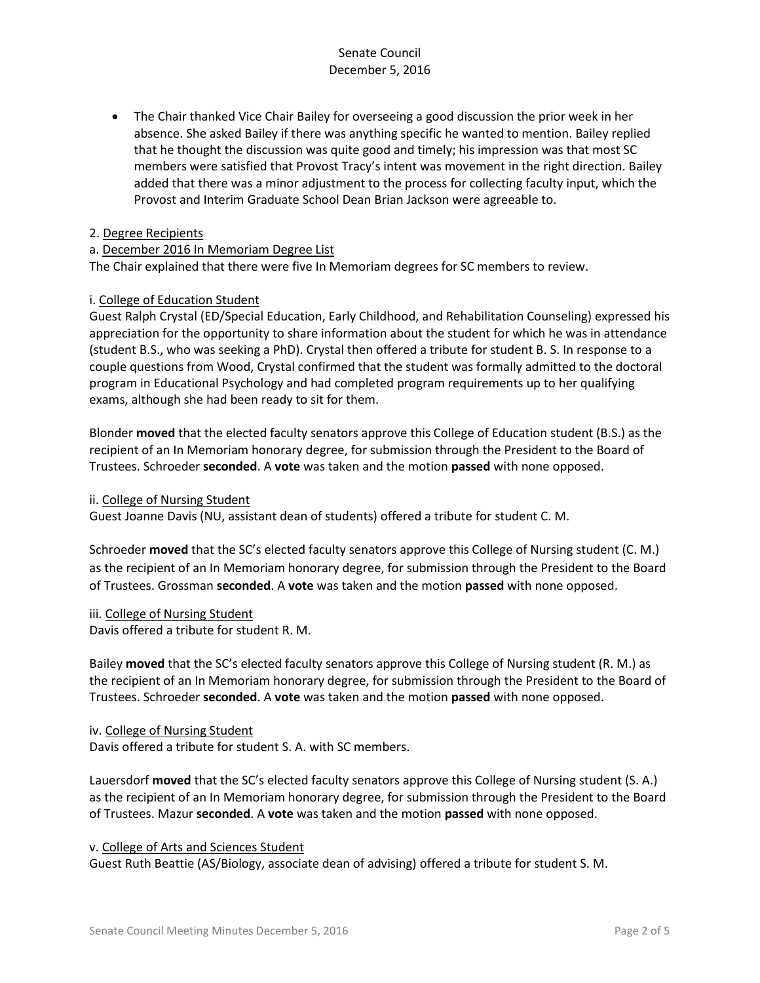The Chair thanked Vice Chair Bailey for overseeing a good discussion the prior week in her absence. She asked Bailey if there was anything specific he wanted to mention. Bailey replied that he thought the discussion was quite good and timely; his impression was that most SC members were satisfied that Provost Tracy's intent was movement in the right direction. Bailey added that there was a minor adjustment to the process for collecting faculty input, which the Provost and Interim Graduate School Dean Brian Jackson were agreeable to.

#### 2. Degree Recipients

#### a. December 2016 In Memoriam Degree List

The Chair explained that there were five In Memoriam degrees for SC members to review.

## i. College of Education Student

Guest Ralph Crystal (ED/Special Education, Early Childhood, and Rehabilitation Counseling) expressed his appreciation for the opportunity to share information about the student for which he was in attendance (student B.S., who was seeking a PhD). Crystal then offered a tribute for student B. S. In response to a couple questions from Wood, Crystal confirmed that the student was formally admitted to the doctoral program in Educational Psychology and had completed program requirements up to her qualifying exams, although she had been ready to sit for them.

Blonder **moved** that the elected faculty senators approve this College of Education student (B.S.) as the recipient of an In Memoriam honorary degree, for submission through the President to the Board of Trustees. Schroeder **seconded**. A **vote** was taken and the motion **passed** with none opposed.

#### ii. College of Nursing Student

Guest Joanne Davis (NU, assistant dean of students) offered a tribute for student C. M.

Schroeder **moved** that the SC's elected faculty senators approve this College of Nursing student (C. M.) as the recipient of an In Memoriam honorary degree, for submission through the President to the Board of Trustees. Grossman **seconded**. A **vote** was taken and the motion **passed** with none opposed.

#### iii. College of Nursing Student

Davis offered a tribute for student R. M.

Bailey **moved** that the SC's elected faculty senators approve this College of Nursing student (R. M.) as the recipient of an In Memoriam honorary degree, for submission through the President to the Board of Trustees. Schroeder **seconded**. A **vote** was taken and the motion **passed** with none opposed.

#### iv. College of Nursing Student

Davis offered a tribute for student S. A. with SC members.

Lauersdorf **moved** that the SC's elected faculty senators approve this College of Nursing student (S. A.) as the recipient of an In Memoriam honorary degree, for submission through the President to the Board of Trustees. Mazur **seconded**. A **vote** was taken and the motion **passed** with none opposed.

v. College of Arts and Sciences Student

Guest Ruth Beattie (AS/Biology, associate dean of advising) offered a tribute for student S. M.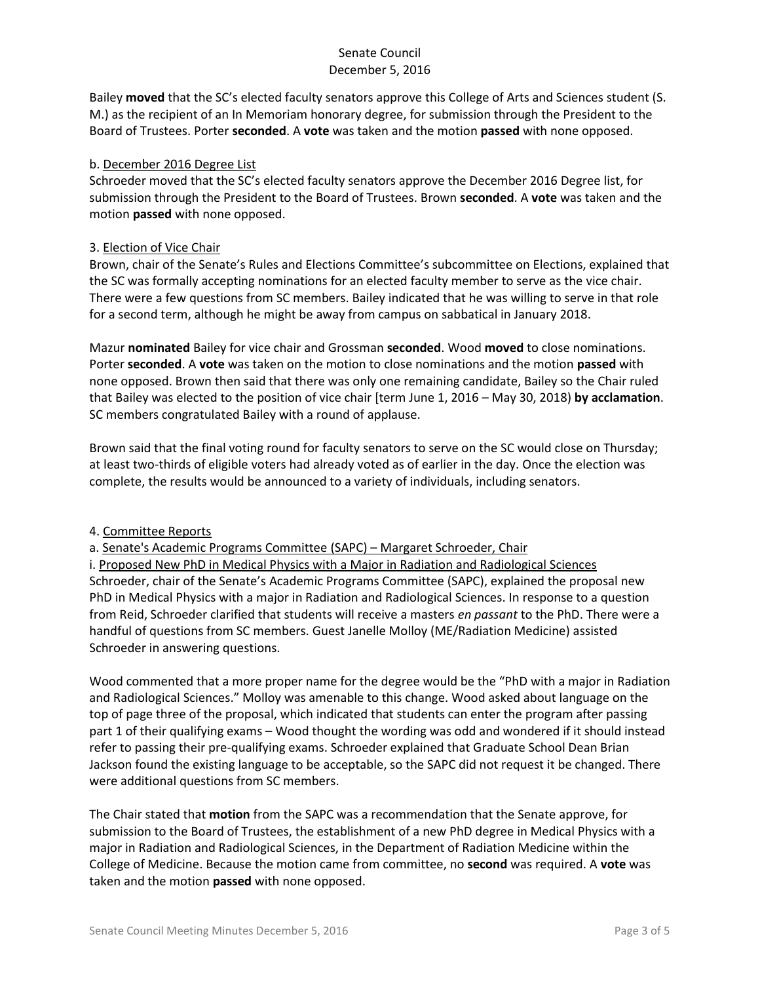Bailey **moved** that the SC's elected faculty senators approve this College of Arts and Sciences student (S. M.) as the recipient of an In Memoriam honorary degree, for submission through the President to the Board of Trustees. Porter **seconded**. A **vote** was taken and the motion **passed** with none opposed.

## b. December 2016 Degree List

Schroeder moved that the SC's elected faculty senators approve the December 2016 Degree list, for submission through the President to the Board of Trustees. Brown **seconded**. A **vote** was taken and the motion **passed** with none opposed.

## 3. Election of Vice Chair

Brown, chair of the Senate's Rules and Elections Committee's subcommittee on Elections, explained that the SC was formally accepting nominations for an elected faculty member to serve as the vice chair. There were a few questions from SC members. Bailey indicated that he was willing to serve in that role for a second term, although he might be away from campus on sabbatical in January 2018.

Mazur **nominated** Bailey for vice chair and Grossman **seconded**. Wood **moved** to close nominations. Porter **seconded**. A **vote** was taken on the motion to close nominations and the motion **passed** with none opposed. Brown then said that there was only one remaining candidate, Bailey so the Chair ruled that Bailey was elected to the position of vice chair [term June 1, 2016 – May 30, 2018) **by acclamation**. SC members congratulated Bailey with a round of applause.

Brown said that the final voting round for faculty senators to serve on the SC would close on Thursday; at least two-thirds of eligible voters had already voted as of earlier in the day. Once the election was complete, the results would be announced to a variety of individuals, including senators.

#### 4. Committee Reports

a. Senate's Academic Programs Committee (SAPC) – Margaret Schroeder, Chair i. Proposed New PhD in Medical Physics with a Major in Radiation and Radiological Sciences Schroeder, chair of the Senate's Academic Programs Committee (SAPC), explained the proposal new PhD in Medical Physics with a major in Radiation and Radiological Sciences. In response to a question from Reid, Schroeder clarified that students will receive a masters *en passant* to the PhD. There were a handful of questions from SC members. Guest Janelle Molloy (ME/Radiation Medicine) assisted Schroeder in answering questions.

Wood commented that a more proper name for the degree would be the "PhD with a major in Radiation and Radiological Sciences." Molloy was amenable to this change. Wood asked about language on the top of page three of the proposal, which indicated that students can enter the program after passing part 1 of their qualifying exams – Wood thought the wording was odd and wondered if it should instead refer to passing their pre-qualifying exams. Schroeder explained that Graduate School Dean Brian Jackson found the existing language to be acceptable, so the SAPC did not request it be changed. There were additional questions from SC members.

The Chair stated that **motion** from the SAPC was a recommendation that the Senate approve, for submission to the Board of Trustees, the establishment of a new PhD degree in Medical Physics with a major in Radiation and Radiological Sciences, in the Department of Radiation Medicine within the College of Medicine. Because the motion came from committee, no **second** was required. A **vote** was taken and the motion **passed** with none opposed.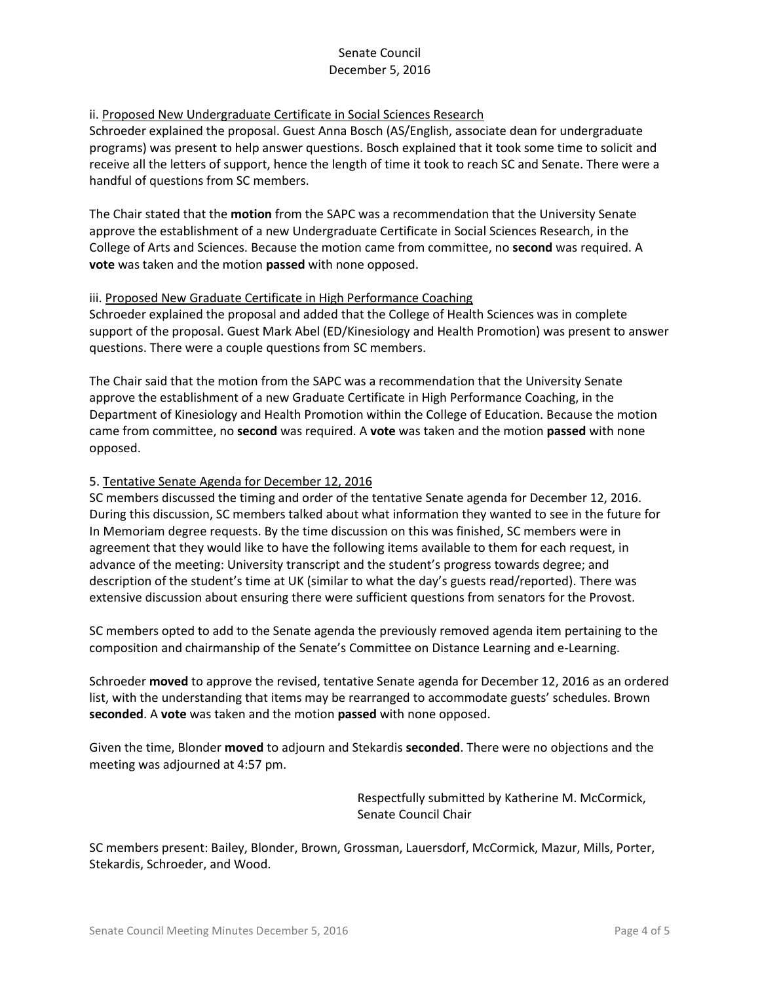## ii. Proposed New Undergraduate Certificate in Social Sciences Research

Schroeder explained the proposal. Guest Anna Bosch (AS/English, associate dean for undergraduate programs) was present to help answer questions. Bosch explained that it took some time to solicit and receive all the letters of support, hence the length of time it took to reach SC and Senate. There were a handful of questions from SC members.

The Chair stated that the **motion** from the SAPC was a recommendation that the University Senate approve the establishment of a new Undergraduate Certificate in Social Sciences Research, in the College of Arts and Sciences. Because the motion came from committee, no **second** was required. A **vote** was taken and the motion **passed** with none opposed.

#### iii. Proposed New Graduate Certificate in High Performance Coaching

Schroeder explained the proposal and added that the College of Health Sciences was in complete support of the proposal. Guest Mark Abel (ED/Kinesiology and Health Promotion) was present to answer questions. There were a couple questions from SC members.

The Chair said that the motion from the SAPC was a recommendation that the University Senate approve the establishment of a new Graduate Certificate in High Performance Coaching, in the Department of Kinesiology and Health Promotion within the College of Education. Because the motion came from committee, no **second** was required. A **vote** was taken and the motion **passed** with none opposed.

#### 5. Tentative Senate Agenda for December 12, 2016

SC members discussed the timing and order of the tentative Senate agenda for December 12, 2016. During this discussion, SC members talked about what information they wanted to see in the future for In Memoriam degree requests. By the time discussion on this was finished, SC members were in agreement that they would like to have the following items available to them for each request, in advance of the meeting: University transcript and the student's progress towards degree; and description of the student's time at UK (similar to what the day's guests read/reported). There was extensive discussion about ensuring there were sufficient questions from senators for the Provost.

SC members opted to add to the Senate agenda the previously removed agenda item pertaining to the composition and chairmanship of the Senate's Committee on Distance Learning and e-Learning.

Schroeder **moved** to approve the revised, tentative Senate agenda for December 12, 2016 as an ordered list, with the understanding that items may be rearranged to accommodate guests' schedules. Brown **seconded**. A **vote** was taken and the motion **passed** with none opposed.

Given the time, Blonder **moved** to adjourn and Stekardis **seconded**. There were no objections and the meeting was adjourned at 4:57 pm.

> Respectfully submitted by Katherine M. McCormick, Senate Council Chair

SC members present: Bailey, Blonder, Brown, Grossman, Lauersdorf, McCormick, Mazur, Mills, Porter, Stekardis, Schroeder, and Wood.